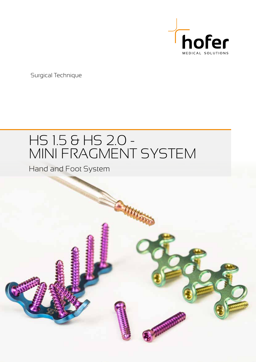

Surgical Technique

# HS 1.5 & HS 2.0 - MINI FRAGMENT SYSTEM

Hand and Foot System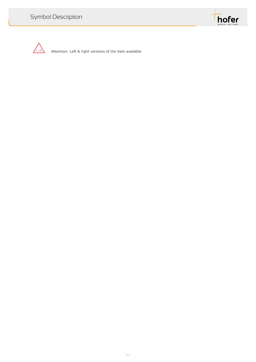



Attention: Left & right versions of the item available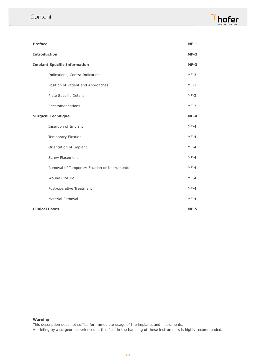

| <b>Preface</b>        |                                              | $MF-1$ |
|-----------------------|----------------------------------------------|--------|
|                       | <b>Introduction</b>                          |        |
|                       | <b>Implant Specific Information</b>          |        |
|                       | Indications, Contra Indications              | $MF-3$ |
|                       | Position of Patient and Approaches           | $MF-3$ |
|                       | Plate Specific Details                       | $MF-3$ |
|                       | Recommendations                              | $MF-3$ |
|                       | <b>Surgical Technique</b>                    |        |
|                       | Insertion of Implant                         | $MF-4$ |
|                       | Temporary Fixation                           | $MF-4$ |
|                       | Orientation of Implant                       | $MF-4$ |
|                       | <b>Screw Placement</b>                       | $MF-4$ |
|                       | Removal of Temporary Fixation or Instruments | $MF-4$ |
|                       | Wound Closure                                | $MF-4$ |
|                       | Post-operative Treatment                     | $MF-4$ |
|                       | <b>Material Removal</b>                      | $MF-4$ |
| <b>Clinical Cases</b> |                                              | $MF-5$ |

#### **Warning**

This description does not suffice for immediate usage of the implants and instruments.

A briefing by a surgeon experienced in this field in the handling of these instruments is highly recommended.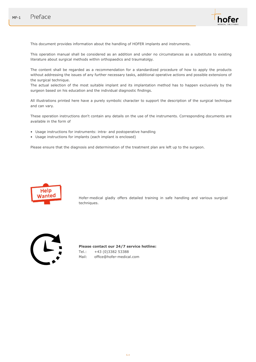

This document provides information about the handling of HOFER implants and instruments.

This operation manual shall be considered as an addition and under no circumstances as a substitute to existing literature about surgical methods within orthopaedics and traumatolgy.

The content shall be regarded as a recommendation for a standardized procedure of how to apply the products without addressing the issues of any further necessary tasks, additional operative actions and possible extensions of the surgical technique.

The actual selection of the most suitable implant and its implantation method has to happen exclusively by the surgeon based on his education and the individual diagnostic findings.

All illustrations printed here have a purely symbolic character to support the description of the surgical technique and can vary.

These operation instructions don't contain any details on the use of the instruments. Corresponding documents are available in the form of

- Usage instructions for instruments: intra- and postoperative handling
- Usage instructions for implants (each implant is enclosed)

Please ensure that the diagnosis and determination of the treatment plan are left up to the surgeon.



Hofer-medical gladly offers detailed training in safe handling and various surgical techniques.



**Please contact our 24/7 service hotline:** Tel.: +43 (0)3382 53388

Mail: office@hofer-medical.com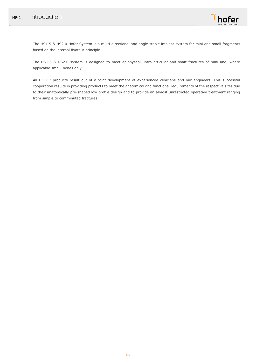

The HS1.5 & HS2.0 Hofer System is a multi-directional and angle stable implant system for mini and small fragments based on the internal fixateur principle.

The HS1.5 & HS2.0 system is designed to meet epiphyseal, intra articular and shaft fractures of mini and, where applicable small, bones only.

All HOFER products result out of a joint development of experienced clinicians and our engineers. This successful cooperation results in providing products to meet the anatomical and functional requirements of the respective sites due to their anatomically pre-shaped low profile design and to provide an almost unrestricted operative treatment ranging from simple to comminuted fractures.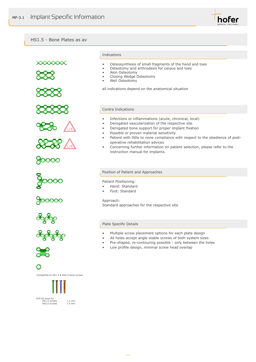#### HS1.5 - Bone Plates as av



### Indications 00000000 • Osteosynthesis of small fragments of the hand and toes • Osteotomy and arthrodesis for carpus and toes • Akin Osteotomy • Closing Wedge Osteotomy Weil Osteotomy all indications depend on the anatomical situation Contra Indications • Infections or inflammations (acute, chronical, local) Derogated vascularization of the respective site • Derogated bone support for proper implant fixation Possible or proven material sensitivity Patient with little to none compliance with respect to the obedience of postoperative rehabilitation advices • Concerning further information on patient selection, please refer to the instruction manual for implants. Position of Patient and Approaches  $\frac{2}{\sqrt[3]{20000}}$ Patient Positioning: • Hand: Standard Foot: Standard Approach: Standard approaches for the respective site Plate Specific Details တွင် • Multiple screw placement options for each plate design All holes accept angle stable screws of both system sizes Pre-shaped, re-contouring possible - only between the holes Low profile design, minimal screw head overlap

Compatible to HS1.5 & HS2.0 bone screws



Drill bit sizes for HS1.5 screws 1.1 mm<br>HS2 0 screws 1.5 mm HS2.0 screws

O

S.6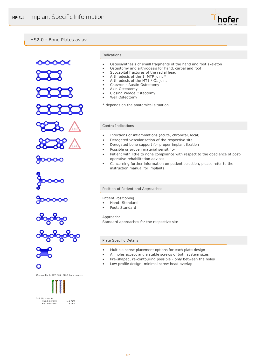



### Indications

- Osteosynthesis of small fragments of the hand and foot skeleton
- Osteotomy and arthrodesis for hand, carpal and foot
- Subcapital fractures of the radial head
- Arthrodesis of the 1. MTP joint \*
- Arthrodesis of the MT1 / C1 joint
- Chevron Austin Osteotomy
- Akin Osteotomy
- Closing Wedge Osteotomy
- Weil Osteotomy

\* depends on the anatomical situation

#### Contra Indications

- Infections or inflammations (acute, chronical, local)
- Derogated vascularization of the respective site
- Derogated bone support for proper implant fixation
- Possible or proven material sensitifity
- Patient with little to none compliance with respect to the obedience of postoperative rehabilitation advices
- Concerning further information on patient selection, please refer to the instruction manual for implants.

#### Position of Patient and Approaches

#### Patient Positioning:

- Hand: Standard
- Foot: Standard

Approach: Standard approaches for the respective site

#### Plate Specific Details

- Multiple screw placement options for each plate design
- All holes accept angle stable screws of both system sizes
- Pre-shaped, re-contouring possible only between the holes
- Low profile design, minimal screw head overlap

Compatible to HS1.5 & HS2.0 bone screws



Drill bit sizes for HS1.5 screws 1.1 mm<br>HS2.0 screws 1.5 mm HS<sub>2</sub>.0 screws

O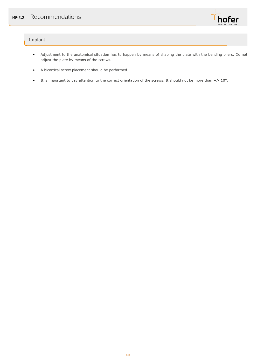

#### Implant

- Adjustment to the anatomical situation has to happen by means of shaping the plate with the bending pliers. Do not adjust the plate by means of the screws.
- A bicortical screw placement should be performed.
- It is important to pay attention to the correct orientation of the screws. It should not be more than +/- 10°.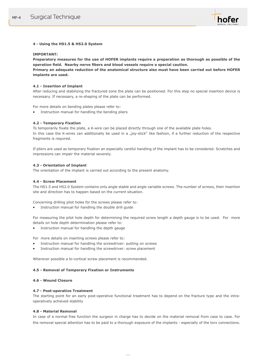

#### **4 - Using the HS1.5 & HS2.0 System**

#### **IMPORTANT:**

**Preparatory measures for the use of HOFER implants require a preparation as thorough as possible of the operation field. Nearby nerve fibers and blood vessels require a special caution.**

**Primary an adequate reduction of the anatomical structure also must have been carried out before HOFER implants are used.**

#### **4.1 - Insertion of Implant**

After reducing and stabilizing the fractured zone the plate can be positioned. For this step no special insertion device is necessary. If necessary, a re-shaping of the plate can be performed.

For more details on bending plates please refer to:

• Instruction manual for handling the bending pliers

#### **4.2 - Temporary Fixation**

To temporarily fixate the plate, a K-wire can be placed directly through one of the available plate holes. In this case the K-wires can additionally be used in a "joy-stick" like fashion, if a further reduction of the respective fragments is required.

If pliers are used as temporary fixation an especially careful handling of the implant has to be considered. Scratches and impressions can impair the material severely.

#### **4.3 - Orientation of Implant**

The orientation of the implant is carried out according to the present anatomy.

#### **4.4 - Screw Placement**

The HS1.5 and HS2.0 System contains only angle stable and angle variable screws. The number of screws, their insertion site and direction has to happen based on the current situation.

Concerning drilling pilot holes for the screws please refer to:

Instruction manual for handling the double drill guide

For measuring the pilot hole depth for determining the required screw length a depth gauge is to be used. For more details on hole depth determination please refer to:

Instruction manual for handling the depth gauge

For more details on inserting screws please refer to:

- Instruction manual for handling the screwdriver: putting on screws
- Instruction manual for handling the screwdriver: screw placement

Wherever possible a bi-cortical screw placement is recommended.

#### **4.5 - Removal of Temporary Fixation or Instruments**

#### **4.6 - Wound Closure**

#### **4.7 - Post-operative Treatment**

The starting point for an early post-operative functional treatment has to depend on the fracture type and the intraoperatively achieved stability

#### **4.8 - Material Removal**

In case of a normal free function the surgeon in charge has to decide on the material removal from case to case. For the removal special attention has to be paid to a thorough exposure of the implants - especially of the torx connections.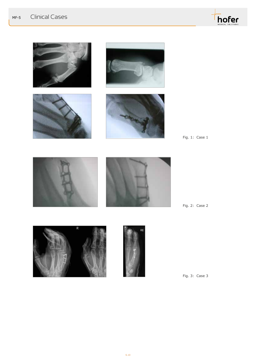









Fig. 1: Case 1





Fig. 2: Case 2





Fig. 3: Case 3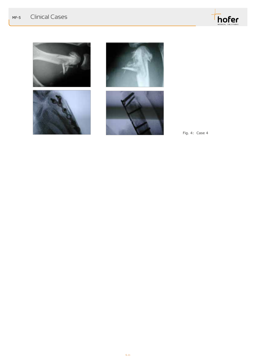







Fig. 4: Case 4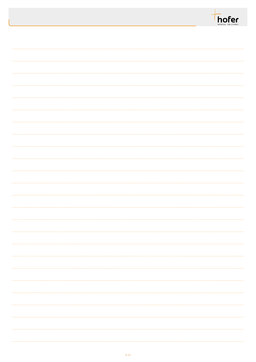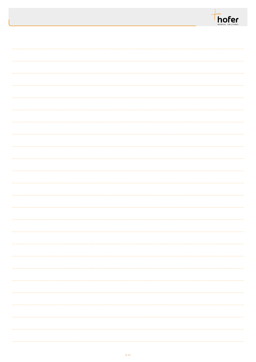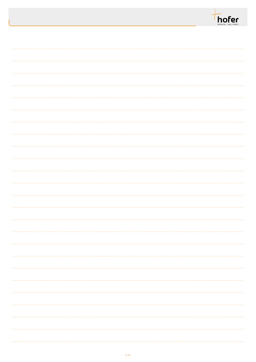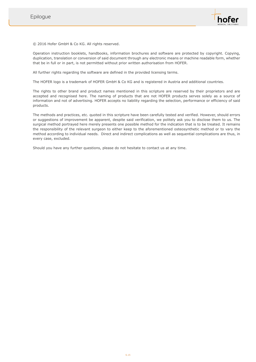

© 2016 Hofer GmbH & Co KG. All rights reserved.

Operation instruction booklets, handbooks, information brochures and software are protected by copyright. Copying, duplication, translation or conversion of said document through any electronic means or machine readable form, whether that be in full or in part, is not permitted without prior written authorisation from HOFER.

All further rights regarding the software are defined in the provided licensing terms.

The HOFER logo is a trademark of HOFER GmbH & Co KG and is registered in Austria and additional countries.

The rights to other brand and product names mentioned in this scripture are reserved by their proprietors and are accepted and recognised here. The naming of products that are not HOFER products serves solely as a source of information and not of advertising. HOFER accepts no liability regarding the selection, performance or efficiency of said products.

The methods and practices, etc. quoted in this scripture have been carefully tested and verified. However, should errors or suggestions of improvement be apparent, despite said verification, we politely ask you to disclose them to us. The surgical method portrayed here merely presents one possible method for the indication that is to be treated. It remains the responsibility of the relevant surgeon to either keep to the aforementioned osteosynthetic method or to vary the method according to individual needs. Direct and indirect complications as well as sequential complications are thus, in every case, excluded.

Should you have any further questions, please do not hesitate to contact us at any time.